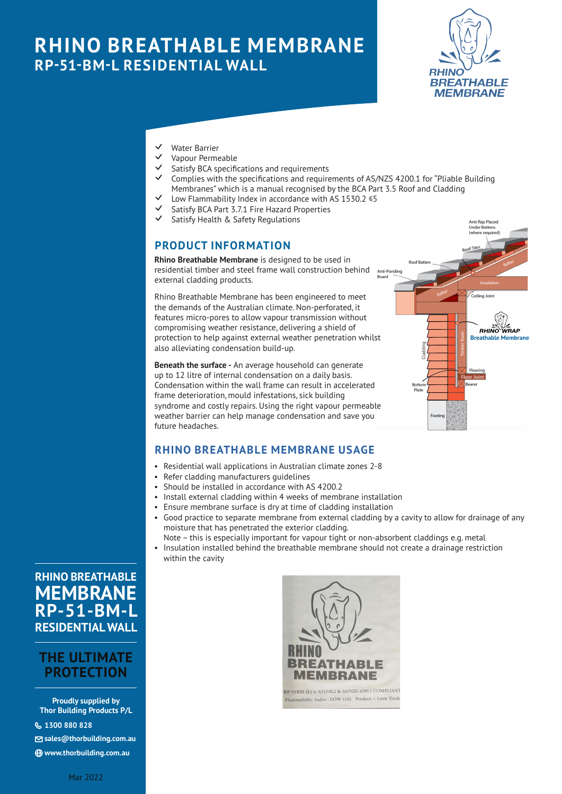# **RHINO BREATHABLE MEMBRANE RP-51-BM-L RESIDENTIAL WALL**



- $\overline{V}$  Water Barrier
- Vapour Permeable
- Satisfy BCA specifications and requirements
- Complies with the specifications and requirements of AS/NZS 4200.1 for "Pliable Building Membranes" which is a manual recognised by the BCA Part 3.5 Roof and Cladding
- Low Flammability Index in accordance with AS 1530.2  $\leq 5$
- Satisfy BCA Part 3.7.1 Fire Hazard Properties
- Satisfy Health & Safety Regulations

#### **PRODUCT INFORMATION**

**Rhino Breathable Membrane** is designed to be used in residential timber and steel frame wall construction behind external cladding products.

Rhino Breathable Membrane has been engineered to meet the demands of the Australian climate. Non-perforated, it features micro-pores to allow vapour transmission without compromising weather resistance, delivering a shield of protection to help against external weather penetration whilst also alleviating condensation build-up.

**Beneath the surface -** An average household can generate up to 12 litre of internal condensation on a daily basis. Condensation within the wall frame can result in accelerated frame deterioration, mould infestations, sick building syndrome and costly repairs. Using the right vapour permeable weather barrier can help manage condensation and save you future headaches.



#### **RHINO BREATHABLE MEMBRANE USAGE**

- Residential wall applications in Australian climate zones 2-8
- Refer cladding manufacturers guidelines
- Should be installed in accordance with AS 4200.2
- Install external cladding within 4 weeks of membrane installation
- Ensure membrane surface is dry at time of cladding installation
- Good practice to separate membrane from external cladding by a cavity to allow for drainage of any moisture that has penetrated the exterior cladding.

Note – this is especially important for vapour tight or non-absorbent claddings e.g. metal

• Insulation installed behind the breathable membrane should not create a drainage restriction within the cavity

## **RHINO BREATHABLE MEMBRANE RP-51-BM-L RESIDENTIAL WALL**

## **THE ULTIMATE PROTECTION**

**Proudly supplied by Thor Building Products P/L**

{ **1300 880 828**

N **sales@thorbuilding.com.au**

i **www.thorbuilding.com.au**